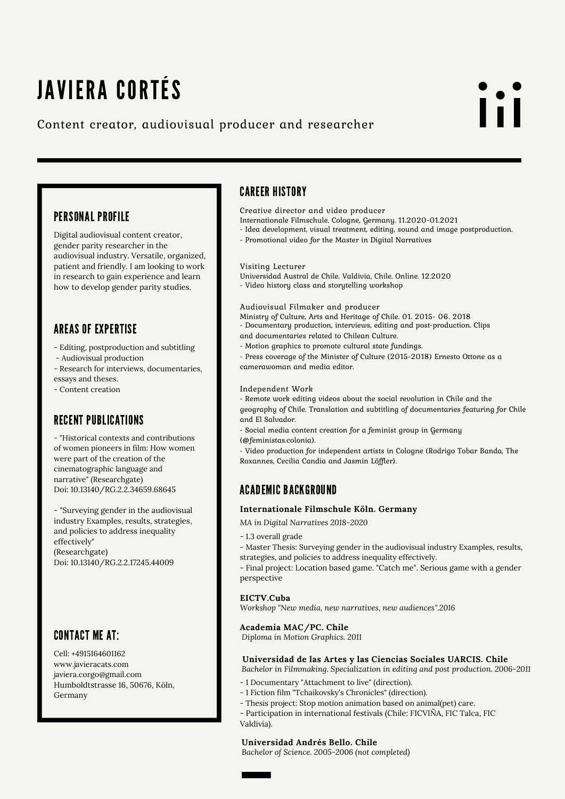## JAVIERA CORTÉS

### Content creator, audiovisual producer and researcher

# l i I

### PERSONAL PROFILE

Digital audiovisual content creator, gender parity researcher in the audiovisual industry. Versatile, organized, patient and friendly. I am looking to work in research to gain experience and learn how to develop gender parity studies.

### AREAS OF EXPERTISE

- Editing, postproduction and subtitling

- Audiovisual production
- Research for interviews, documentaries, essays and theses.
- Content creation

### RECENT PUBLICATIONS

- "Historical contexts and contributions of women pioneers in film: How women were part of the creation of the cinematographic language and narrative" (Researchgate) Doi: 10.13140/RG.2.2.34659.68645

- "Surveying gender in the audiovisual industry Examples, results, strategies, and policies to address inequality effectively" (Researchgate) Doi: 10.13140/RG.2.2.17245.44009

### CONTACT ME AT:

Cell: +4915164601162 www.javieracats.com javiera.corgo@gmail.com Humboldtstrasse 16, 50676, Köln, Germany

### CAREER HISTORY

Creative director and video producer

- Internationale Filmschule. Cologne, Germany. 11.2020-01.2021
- Idea development, visual treatment, editing, sound and image postproduction.
- Promotional video for the Master in Digital Narratives

#### Visiting Lecturer

- Universidad Austral de Chile. Valdivia, Chile. Online. 12.2020
- Video history class and storytelling workshop

#### Audiovisual Filmaker and producer

Ministry of Culture, Arts and Heritage of Chile. 01. 2015- 06. 2018

- Documentary production, interviews, editing and post-production. Clips
- and documentaries related to Chilean Culture.
- Motion graphics to promote cultural state fundings.

- Press coverage of the Minister of Culture (2015-2018) Ernesto Ottone as a camerawoman and media editor.

### Independent Work

- Remote work editing videos about the social revolution in Chile and the geography of Chile. Translation and subtitling of documentaries featuring for Chile and El Salvador.

- Social media content creation for a feminist group in Germany (@feministas.colonia).
- 

- Video production for independent artists in Cologne (Rodrigo Tobar Banda, The Roxannes, Cecilia Candia and Jasmin Löffler).

### ACADEMIC BACKGROUND

### **Internationale Filmschule Köln. Germany**

*MA in Digital Narratives 2018-2020*

- 1.3 overall grade
- Master Thesis: Surveying gender in the audiovisual industry Examples, results, strategies, and policies to address inequality effectively.

- Final project: Location based game. "Catch me". Serious game with a gender perspective

### **EICTV.Cuba**

*Workshop "New media, new narratives, new audiences".2016*

### **Academia MAC/PC. Chile**

*Diploma in Motion Graphics. 2011*

### **Universidad de las Artes y las Ciencias Sociales UARCIS. Chile**

*Bachelor in Filmmaking. Specialization in editing and post production. 2006-2011*

- 1 Documentary "Attachment to live" (direction).
- 1 Fiction film "Tchaikovsky's Chronicles" (direction).
- Thesis project: Stop motion animation based on animal(pet) care.

- Participation in international festivals (Chile: FICVIÑA, FIC Talca, FIC Valdivia).

### **Universidad Andrés Bello. Chile**

*Bachelor of Science. 2005-2006 (not completed)*